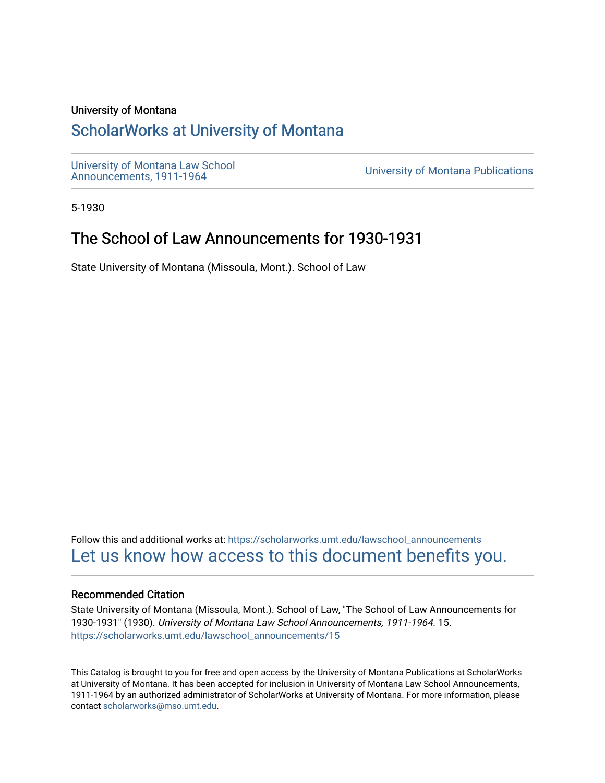### University of Montana

## [ScholarWorks at University of Montana](https://scholarworks.umt.edu/)

[University of Montana Law School](https://scholarworks.umt.edu/lawschool_announcements)<br>Announcements, 1911-1964

**University of Montana Publications** 

5-1930

## The School of Law Announcements for 1930-1931

State University of Montana (Missoula, Mont.). School of Law

Follow this and additional works at: [https://scholarworks.umt.edu/lawschool\\_announcements](https://scholarworks.umt.edu/lawschool_announcements?utm_source=scholarworks.umt.edu%2Flawschool_announcements%2F15&utm_medium=PDF&utm_campaign=PDFCoverPages)  [Let us know how access to this document benefits you.](https://goo.gl/forms/s2rGfXOLzz71qgsB2) 

#### Recommended Citation

State University of Montana (Missoula, Mont.). School of Law, "The School of Law Announcements for 1930-1931" (1930). University of Montana Law School Announcements, 1911-1964. 15. [https://scholarworks.umt.edu/lawschool\\_announcements/15](https://scholarworks.umt.edu/lawschool_announcements/15?utm_source=scholarworks.umt.edu%2Flawschool_announcements%2F15&utm_medium=PDF&utm_campaign=PDFCoverPages)

This Catalog is brought to you for free and open access by the University of Montana Publications at ScholarWorks at University of Montana. It has been accepted for inclusion in University of Montana Law School Announcements, 1911-1964 by an authorized administrator of ScholarWorks at University of Montana. For more information, please contact [scholarworks@mso.umt.edu](mailto:scholarworks@mso.umt.edu).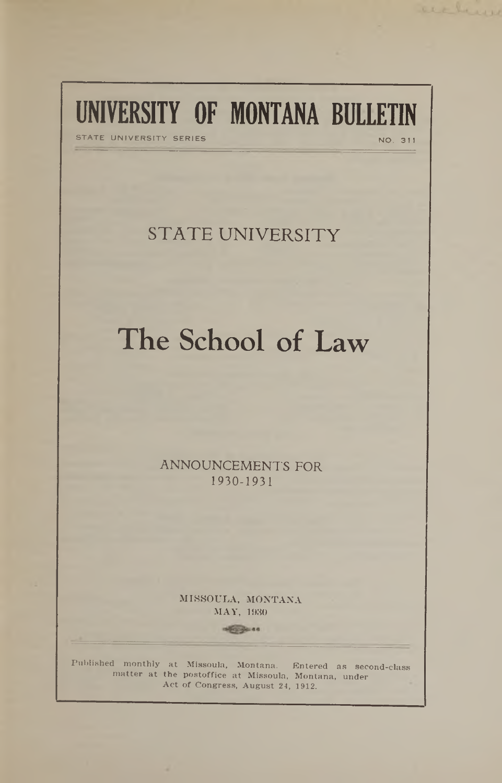# **UNIVERSITY OF MONTANA BULLETIN**

STATE UNIVERSITY SERIES NO. 311

acchever

## STATE UNIVERSITY

## The School of Law

**ANNOUNCEMENTS FOR** 1930-1931

> MISSOULA, MONTANA MAY, 1930

> > **Second 40**

**Published monthly at Missoula, Montana. Entered as second-class matter at the postoffice at Missoula, Montana, under Act of Congress, August 24, 1912.**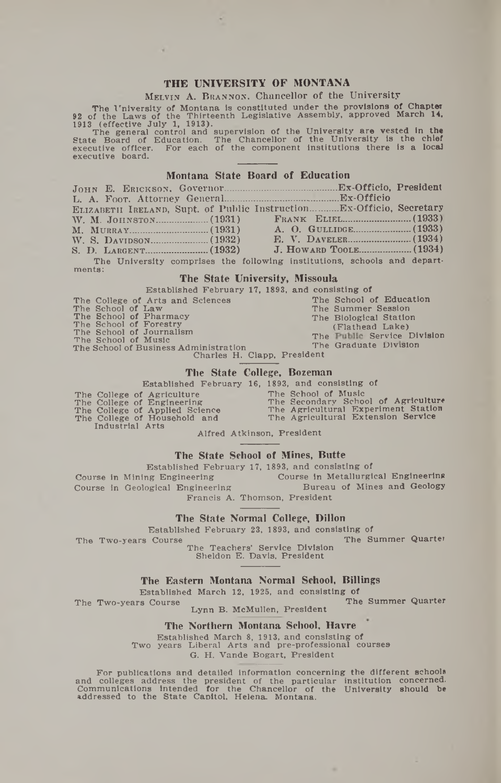#### THE IINIVERSITY OF MONTANA

#### MELVIN A. BRANNON, Chancellor of the University

The University of Montana is constituted under the provisions of Chapter<br>92 of the Laws of the Thirteenth Legislative Assembly, approved March 14,<br>1913 (effective July 1, 1913).

The general control and supervision of the University are vested in the<br>State Board of Education. The Chancellor of the University is the chief<br>executive officer. For each of the component institutions there is a local executive officer. executive board.

#### Montana State Board of Education

| ELIZABETH IRELAND, Supt. of Public InstructionEx-Officio, Secretary      |  |
|--------------------------------------------------------------------------|--|
|                                                                          |  |
|                                                                          |  |
|                                                                          |  |
|                                                                          |  |
| The University comprises the following institutions, schools and depart- |  |

ments:

#### The State University, Missoula

|                                       | Established February 17, 1893, and consisting of |
|---------------------------------------|--------------------------------------------------|
| The College of Arts and Sciences      | The School of Education                          |
| The School of Law                     | The Summer Session                               |
| The School of Pharmacy                | The Biological Station                           |
| The School of Forestry                | (Flathead Lake)                                  |
| The School of Journalism              | The Public Service Division                      |
| The School of Music                   |                                                  |
| The School of Business Administration | The Graduate Division                            |
|                                       | Charles H Clapp Dropidant                        |

i, Ciapp,

#### The State College, Bozeman

Established February 16, 1893, and consisting of The College of Agriculture<br>The College of Engineering<br>The College of Applied Science<br>The College of Household and

Industrial Arts

The School of Music<br>The Secondary School of Agriculture<br>The Agricultural Experiment Station<br>The Agricultural Extension Service

Alfred Atkinson, President

#### The State School of Mines, Butte

Established February 17, 1893, and consisting of Course in Metallurgical Engineering Course in Mining Engineering Bureau of Mines and Geology Course in Geological Engineering Francis A. Thomson, President

The State Normal College, Dillon

Established February 23, 1893, and consisting of

The Summer Quarter The Two-years Course The Teachers' Service Division

Sheldon E. Davis, President

#### The Eastern Montana Normal School, Billings

Established March 12, 1925, and consisting of

The Summer Quarter The Two-years Course Lynn B. McMullen, President

#### The Northern Montana School, Havre

Established March 8, 1913, and consisting of<br>Two years Liberal Arts and pre-professional courses G. H. Vande Bogart, President

For publications and detailed information concerning the different schools and colleges address the president of the particular institution concerned.<br>Communications intended for the Chancellor of the University should be<br>addressed to the State Capitol, Helena. Montana.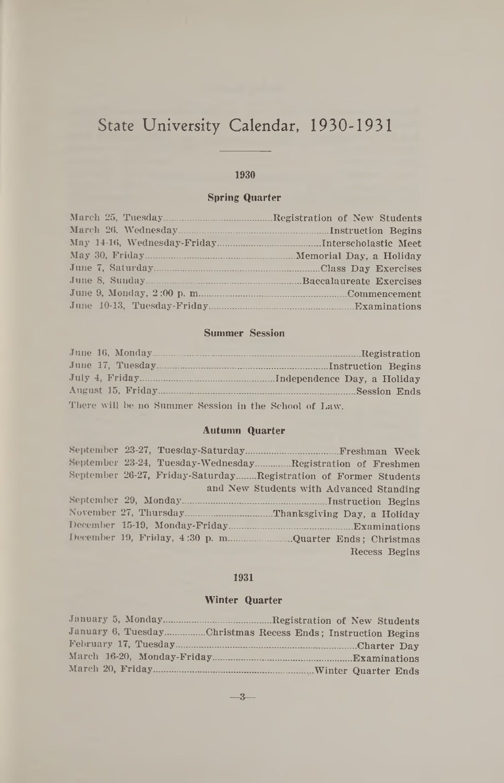## State University Calendar, 1930-1931

#### 1930

#### **Spring Quarter**

|                          | Memorial Day, a Holiday |
|--------------------------|-------------------------|
|                          |                         |
|                          |                         |
| June 9, Monday, 2:00 p.m |                         |
|                          |                         |

#### **Summer Session**

| There will be no Summer Session in the School of Law. |  |
|-------------------------------------------------------|--|

#### **Autumn Quarter**

|                                |  | September 23-24, Tuesday-WednesdayRegistration of Freshmen      |               |
|--------------------------------|--|-----------------------------------------------------------------|---------------|
|                                |  | September 26-27, Friday-SaturdayRegistration of Former Students |               |
|                                |  | and New Students with Advanced Standing                         |               |
|                                |  |                                                                 |               |
|                                |  |                                                                 |               |
| December 15-19, Monday-Friday. |  | Examinations                                                    |               |
| December 19, Friday, 4:30 p.m. |  |                                                                 |               |
|                                |  |                                                                 | Recess Begins |

#### 1931

#### **Winter Quarter**

| January 5, Monday                                           | Registration of New Students. |
|-------------------------------------------------------------|-------------------------------|
| January 6, TuesdayChristmas Recess Ends; Instruction Begins |                               |
|                                                             |                               |
|                                                             |                               |
|                                                             |                               |

— **3**—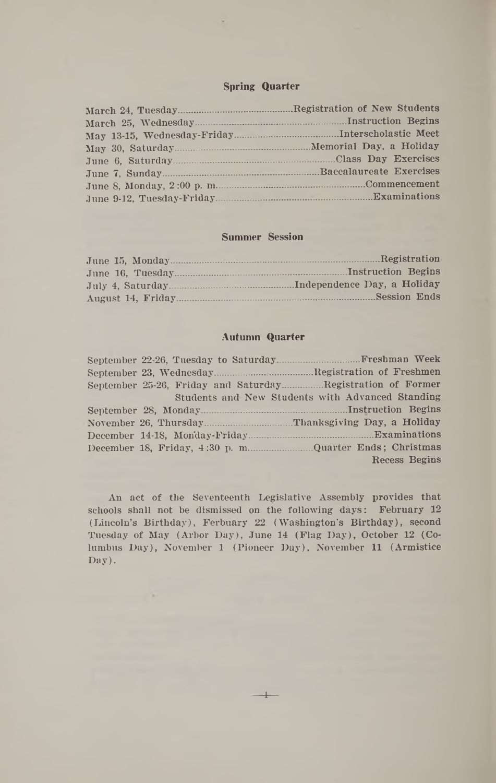#### **Spring Quarter**

|                             | <b>Registration of New Students</b> |
|-----------------------------|-------------------------------------|
| March 25, Wednesday         | Instruction Begins                  |
| May 13-15, Wednesday-Friday | Interscholastic Meet                |
|                             | Memorial Day, a Holiday             |
|                             | Class Day Exercises                 |
|                             | Baccalaureate Exercises             |
| June 8, Monday, 2:00 p.m.   | Commencement                        |
| June 9-12, Tuesday-Friday.  | Examinations                        |

#### **Summer Session**

| June 15, Monday.  | Registration                |
|-------------------|-----------------------------|
| June 16. Tuesday  | Instruction Begins          |
| July 4. Saturday. | Independence Day, a Holiday |
| August 14, Friday | Session Ends                |

#### **Autumn Quarter**

| September 22-26, Tuesday to Saturday.                      | Freshman Week                                    |
|------------------------------------------------------------|--------------------------------------------------|
|                                                            | <b>Registration of Freshmen</b>                  |
| September 25-26, Friday and SaturdayRegistration of Former |                                                  |
|                                                            | Students and New Students with Advanced Standing |
|                                                            |                                                  |
|                                                            | Thanksgiving Day, a Holiday                      |
| December 14-18, Monday-Friday.                             | Examinations                                     |
|                                                            | <b>Ouarter Ends: Christmas</b>                   |
|                                                            | Recess Begins                                    |

An act of the Seventeenth Legislative Assembly provides that schools shall not be dismissed on the following days: February 12 (Lincoln's Birthday), Ferbuary 22 (Washington's Birthday), second Tuesday of May (Arbor Day), June 14 (Flag Day), October 12 (Columbus Day), November 1 (Pioneer Day), November 11 (Armistice Day).

**4**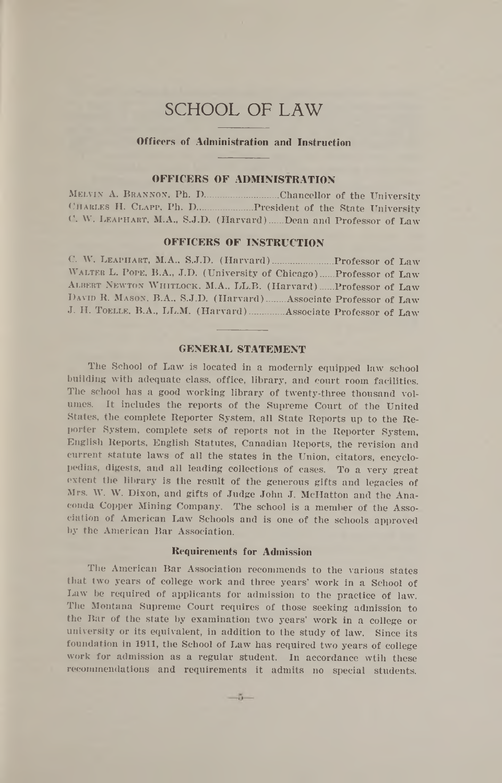### SCHOOL OF LAW

#### **Offirers of Administration and Instruction**

#### **OFFICERS OF ADMINISTRATION**

Melvin A. Brannon, Ph. D.........................Chancellor of the University CHARLES H. CLAPP, Ph. D..................... President of the State University C. W. LEAPHART, M.A., S.J.D. (Harvard)...... Dean and Professor of Law

#### **OFFICERS OF INSTRUCTION**

C. W. LEAPHART, M.A., S.J.D. (Harvard)............................ Professor of Law Walter L. Pope, B.A., J.D. (University of Chicago).... Professor of Law ALBERT NEWTON WHITLOCK, M.A., LL.B. (Harvard)...... Professor of Law DAVID R. MASON, B.A., S.J.D. (Harvard)........ Associate Professor of Law J. H. TOELLE, B.A., LL.M. (Harvard)............. Associate Professor of Law

#### **GENERAL STATEMENT**

The School of Law is located in a modernly equipped law school building with adequate class, office, library, and court room facilities. The school has a good working library of twenty-three thousand volumes. It includes the reports of the Supreme Court of the United States, the complete Reporter System, all State Reports up to the Reporter System, complete sets of reports not in the Reporter System, English Reports, English Statutes, Canadian Reports, the revision and current statute laws of all the states in the Union, citators, encyclopedias, digests, and all leading collections of cases. To a very great extent the library is the result of the generous gifts and legacies of Mrs. W. W. Dixon, and gifts of Judge John J. McHatton and the Anaconda Copper Mining Company. The school is a member of the Asso-. ciation of American Law Schools and is one of the schools approved by the American Bar Association.

#### **Requirements for Admission**

The American Bar Association recommends to the various states that two years of college work and three years' work in a School of Law be required of applicants for admission to the practice of law. The Montana Supreme Court requires of those seeking admission to the Bar of the state by examination two years' work in a college or university or its equivalent, in addition to the study of law. Since its foundation in 1911, the School of Law has required two years of college work for admission as a regular student. In accordance wtih these recommendations and requirements it admits no special students.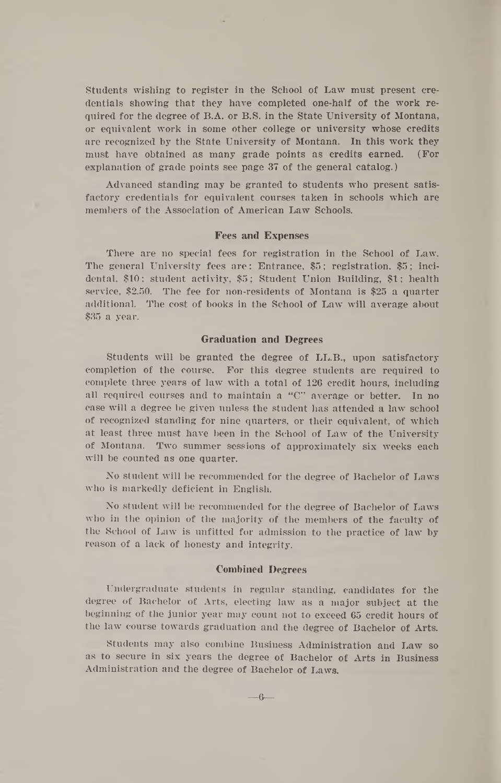Students wishing to register in the School of Law must present credentials showing that they have completed one-half of the work required for the degree of B.A. or B.S. in the State University of Montana, or equivalent work in some other college or university whose credits are recognized by the State University of Montana. In this work they must have obtained as many grade points as credits earned. (For explanation of grade points see page 37 of the general catalog.)

Advanced standing may be granted to students who present satisfactory credentials for equivalent courses taken in schools which are members of the Association of American Law Schools.

#### **Fees and Expenses**

There are no special fees for registration in the School of Law. The general University fees are: Entrance, \$5; registration, \$5; incidental, \$10; student activity, \$5; Student Union Building, \$1; health service, \$2.50. The fee for non-residents of Montana is \$25 a quarter additional. The cost of books in the School of Law will average about \$35 a year.

#### **Graduation and Degrees**

Students will be granted the degree of LL.B., upon satisfactory completion of the course. For this degree students are required to complete three years of law with a total of 126 credit hours, including all required courses and to maintain a " $C$ " average or better. In no case will a degree be given unless the student has attended a law school of recognized standing for nine quarters, or their equivalent, of which at least three must have been in the School of Law of the University of Montana. Two summer sessions of approximately six weeks each will be counted as one quarter.

No student will be recommended for the degree of Bachelor of Laws who is markedly deficient in English.

No student will be recommended for the degree of Bachelor of Laws who in the opinion of the majority of the members of the faculty of the School of Law is unfitted for admission to the practice of law by reason of a lack of honesty and integrity.

#### **Combined Degrees**

Undergraduate students in regular standing, candidates for the degree of Bachelor of Arts, electing law as a major subject at the beginning of the junior year may count not to exceed 65 credit hours of the law course towards graduation and the degree of Bachelor of Arts.

Students may also combine Business Administration and Law so as to secure in six years the degree of Bachelor of Arts in Business Administration and the degree of Bachelor of Laws.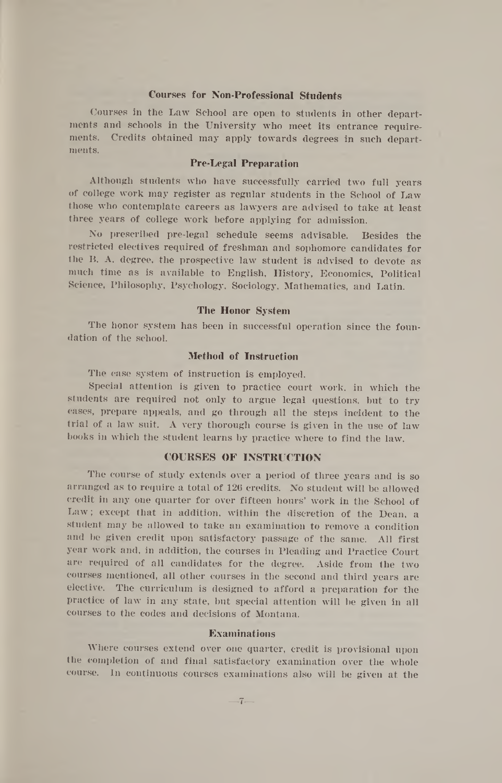#### **Courses for Non-Professional Students**

Courses in the Law School are open to students in other departments and schools in the University who meet its entrance requirements. Credits obtained may apply towards degrees in such departments.

#### **Pre-Legal Preparation**

Although students who have successfully carried two full years of college work may register as regular students in the School of Law those who contemplate careers as lawyers are advised to take at least three years of college work before applying for admission.

No prescribed pre-legal schedule seems advisable. Besides the restricted electives required of freshman and sophomore candidates for the B. A. degree, the prospective law student is advised to devote as much time as is available to English, History, Economics, Political Science, Philosophy, Psychology, Sociology, Mathematics, and Latin.

#### **The Honor System**

The honor system has been in successful operation since the foundation of the school.

#### **Method of Instruction**

The case system of instruction is employed.

Special attention is given to practice court work, in which the students are required not only to argue legal questions, but to try cases, prepare appeals, and go through all the steps incident to the trial of a law suit. A very thorough course is given in the use of law books in which the student learns by practice where to find the law.

#### **COURSES OF INSTRUCTION**

The course of study extends over a period of three years and is so arranged as to require a total of 126 credits. No student will be allowed credit in any one quarter for over fifteen hours' work in the School of Law ; except that in addition, within the discretion of the Dean, a student may be allowed to take an examination to remove a condition and be given credit upon satisfactory passage of the same. All first year work and, in addition, the courses in Pleading and Practice Court are required of all candidates for the degree. Aside from the two courses mentioned, all other courses in the second and third years are elective. The curriculum is designed to afford a preparation for the practice of law in any state, but special attention will be given in all courses to the codes and decisions of Montana.

#### **Examinations**

Where courses extend over one quarter, credit is provisional upon the completion of and final satisfactory examination over the whole course. In continuous courses examinations also will be given at the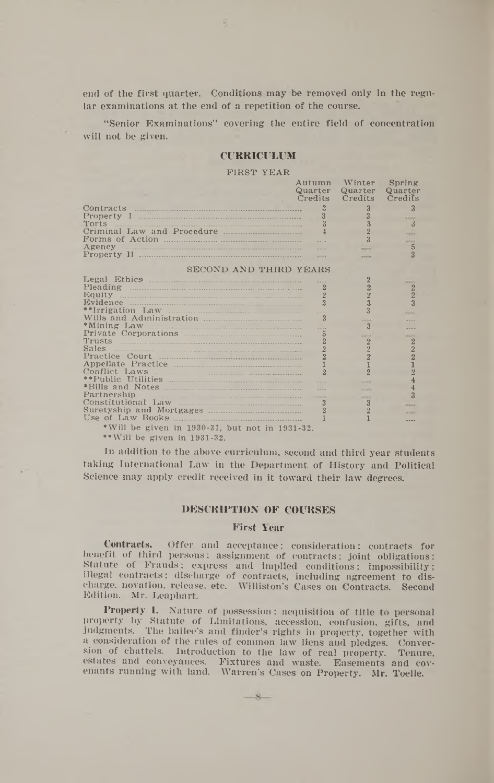end of the first quarter. Conditions may be removed only in the regular examinations at the end of a repetition of the course.

" Senior Examinations" covering the entire field of concentration will not be given.

#### **CURR ICULUM**

#### FIRST YEAR

| Quarter<br>Quarter<br>Quarter<br>Credits<br>Credits<br>Credits<br>$\ddot{?}$<br>$\mathcal{R}$<br>3<br>3<br>3<br>$\overline{3}$<br>3<br>$\overline{2}$<br>$\overline{4}$<br><b>HARA</b><br>$\sim$<br><b>STARK</b><br>$\overline{5}$<br>Agency manufactured and all the series of the series of the series of the series of the series of the series of the series of the series of the series of the series of the series of the series of the series of the series o<br>---<br>$\overline{\mathbf{3}}$<br>$\sim$<br><b>Kingdom</b><br>SECOND AND THIRD YEARS<br>$\overline{2}$<br><b>MARKET</b><br>$\overline{2}$<br>$\overline{2}$<br>Pleading <u>communication</u><br>$\overline{2}$<br>$\overline{2}$<br>$\overline{2}$<br>$\overline{2}$<br>$\overline{3}$<br>3<br>$\overline{\mathbf{3}}$<br>**Irrigation Law<br>$\overline{3}$<br>$-100$<br>$\overline{3}$<br>1.1.1<br>$\overline{5}$<br>$-11$<br><b>ALCOHOL</b><br>$\overline{2}$<br>Trusts<br>$\overline{2}$<br>$\overline{2}$<br>$\overline{2}$<br>$\overline{2}$<br>Sales<br>$\overline{2}$<br>$\frac{2}{1}$<br>$\overline{2}$<br>$\overline{2}$<br>$\overline{2}$<br>$\mathcal{D}$<br><b>Address</b><br>$\sim$<br><b>Parties</b><br>$\overline{\mathbf{3}}$<br><b>Address</b><br>Constitutional Law<br>$\mathbf{3}$<br>3<br><b>MARY</b><br>$\overline{2}$<br>---<br>Use of Law Books<br>*Will be given in 1930-31, but not in 1931-32. |                             | Autumn Winter | Spring |
|---------------------------------------------------------------------------------------------------------------------------------------------------------------------------------------------------------------------------------------------------------------------------------------------------------------------------------------------------------------------------------------------------------------------------------------------------------------------------------------------------------------------------------------------------------------------------------------------------------------------------------------------------------------------------------------------------------------------------------------------------------------------------------------------------------------------------------------------------------------------------------------------------------------------------------------------------------------------------------------------------------------------------------------------------------------------------------------------------------------------------------------------------------------------------------------------------------------------------------------------------------------------------------------------------------------------------------------------------------------------------------------------------|-----------------------------|---------------|--------|
|                                                                                                                                                                                                                                                                                                                                                                                                                                                                                                                                                                                                                                                                                                                                                                                                                                                                                                                                                                                                                                                                                                                                                                                                                                                                                                                                                                                                   |                             |               |        |
|                                                                                                                                                                                                                                                                                                                                                                                                                                                                                                                                                                                                                                                                                                                                                                                                                                                                                                                                                                                                                                                                                                                                                                                                                                                                                                                                                                                                   |                             |               |        |
|                                                                                                                                                                                                                                                                                                                                                                                                                                                                                                                                                                                                                                                                                                                                                                                                                                                                                                                                                                                                                                                                                                                                                                                                                                                                                                                                                                                                   |                             |               |        |
|                                                                                                                                                                                                                                                                                                                                                                                                                                                                                                                                                                                                                                                                                                                                                                                                                                                                                                                                                                                                                                                                                                                                                                                                                                                                                                                                                                                                   |                             |               |        |
|                                                                                                                                                                                                                                                                                                                                                                                                                                                                                                                                                                                                                                                                                                                                                                                                                                                                                                                                                                                                                                                                                                                                                                                                                                                                                                                                                                                                   |                             |               |        |
|                                                                                                                                                                                                                                                                                                                                                                                                                                                                                                                                                                                                                                                                                                                                                                                                                                                                                                                                                                                                                                                                                                                                                                                                                                                                                                                                                                                                   |                             |               |        |
|                                                                                                                                                                                                                                                                                                                                                                                                                                                                                                                                                                                                                                                                                                                                                                                                                                                                                                                                                                                                                                                                                                                                                                                                                                                                                                                                                                                                   |                             |               |        |
|                                                                                                                                                                                                                                                                                                                                                                                                                                                                                                                                                                                                                                                                                                                                                                                                                                                                                                                                                                                                                                                                                                                                                                                                                                                                                                                                                                                                   |                             |               |        |
|                                                                                                                                                                                                                                                                                                                                                                                                                                                                                                                                                                                                                                                                                                                                                                                                                                                                                                                                                                                                                                                                                                                                                                                                                                                                                                                                                                                                   |                             |               |        |
|                                                                                                                                                                                                                                                                                                                                                                                                                                                                                                                                                                                                                                                                                                                                                                                                                                                                                                                                                                                                                                                                                                                                                                                                                                                                                                                                                                                                   |                             |               |        |
|                                                                                                                                                                                                                                                                                                                                                                                                                                                                                                                                                                                                                                                                                                                                                                                                                                                                                                                                                                                                                                                                                                                                                                                                                                                                                                                                                                                                   |                             |               |        |
|                                                                                                                                                                                                                                                                                                                                                                                                                                                                                                                                                                                                                                                                                                                                                                                                                                                                                                                                                                                                                                                                                                                                                                                                                                                                                                                                                                                                   |                             |               |        |
|                                                                                                                                                                                                                                                                                                                                                                                                                                                                                                                                                                                                                                                                                                                                                                                                                                                                                                                                                                                                                                                                                                                                                                                                                                                                                                                                                                                                   |                             |               |        |
|                                                                                                                                                                                                                                                                                                                                                                                                                                                                                                                                                                                                                                                                                                                                                                                                                                                                                                                                                                                                                                                                                                                                                                                                                                                                                                                                                                                                   |                             |               |        |
|                                                                                                                                                                                                                                                                                                                                                                                                                                                                                                                                                                                                                                                                                                                                                                                                                                                                                                                                                                                                                                                                                                                                                                                                                                                                                                                                                                                                   |                             |               |        |
|                                                                                                                                                                                                                                                                                                                                                                                                                                                                                                                                                                                                                                                                                                                                                                                                                                                                                                                                                                                                                                                                                                                                                                                                                                                                                                                                                                                                   |                             |               |        |
|                                                                                                                                                                                                                                                                                                                                                                                                                                                                                                                                                                                                                                                                                                                                                                                                                                                                                                                                                                                                                                                                                                                                                                                                                                                                                                                                                                                                   |                             |               |        |
|                                                                                                                                                                                                                                                                                                                                                                                                                                                                                                                                                                                                                                                                                                                                                                                                                                                                                                                                                                                                                                                                                                                                                                                                                                                                                                                                                                                                   |                             |               |        |
|                                                                                                                                                                                                                                                                                                                                                                                                                                                                                                                                                                                                                                                                                                                                                                                                                                                                                                                                                                                                                                                                                                                                                                                                                                                                                                                                                                                                   |                             |               |        |
|                                                                                                                                                                                                                                                                                                                                                                                                                                                                                                                                                                                                                                                                                                                                                                                                                                                                                                                                                                                                                                                                                                                                                                                                                                                                                                                                                                                                   |                             |               |        |
|                                                                                                                                                                                                                                                                                                                                                                                                                                                                                                                                                                                                                                                                                                                                                                                                                                                                                                                                                                                                                                                                                                                                                                                                                                                                                                                                                                                                   |                             |               |        |
|                                                                                                                                                                                                                                                                                                                                                                                                                                                                                                                                                                                                                                                                                                                                                                                                                                                                                                                                                                                                                                                                                                                                                                                                                                                                                                                                                                                                   |                             |               |        |
|                                                                                                                                                                                                                                                                                                                                                                                                                                                                                                                                                                                                                                                                                                                                                                                                                                                                                                                                                                                                                                                                                                                                                                                                                                                                                                                                                                                                   |                             |               |        |
|                                                                                                                                                                                                                                                                                                                                                                                                                                                                                                                                                                                                                                                                                                                                                                                                                                                                                                                                                                                                                                                                                                                                                                                                                                                                                                                                                                                                   |                             |               |        |
|                                                                                                                                                                                                                                                                                                                                                                                                                                                                                                                                                                                                                                                                                                                                                                                                                                                                                                                                                                                                                                                                                                                                                                                                                                                                                                                                                                                                   |                             |               |        |
|                                                                                                                                                                                                                                                                                                                                                                                                                                                                                                                                                                                                                                                                                                                                                                                                                                                                                                                                                                                                                                                                                                                                                                                                                                                                                                                                                                                                   |                             |               |        |
|                                                                                                                                                                                                                                                                                                                                                                                                                                                                                                                                                                                                                                                                                                                                                                                                                                                                                                                                                                                                                                                                                                                                                                                                                                                                                                                                                                                                   |                             |               |        |
|                                                                                                                                                                                                                                                                                                                                                                                                                                                                                                                                                                                                                                                                                                                                                                                                                                                                                                                                                                                                                                                                                                                                                                                                                                                                                                                                                                                                   |                             |               |        |
|                                                                                                                                                                                                                                                                                                                                                                                                                                                                                                                                                                                                                                                                                                                                                                                                                                                                                                                                                                                                                                                                                                                                                                                                                                                                                                                                                                                                   |                             |               |        |
|                                                                                                                                                                                                                                                                                                                                                                                                                                                                                                                                                                                                                                                                                                                                                                                                                                                                                                                                                                                                                                                                                                                                                                                                                                                                                                                                                                                                   |                             |               |        |
|                                                                                                                                                                                                                                                                                                                                                                                                                                                                                                                                                                                                                                                                                                                                                                                                                                                                                                                                                                                                                                                                                                                                                                                                                                                                                                                                                                                                   |                             |               |        |
|                                                                                                                                                                                                                                                                                                                                                                                                                                                                                                                                                                                                                                                                                                                                                                                                                                                                                                                                                                                                                                                                                                                                                                                                                                                                                                                                                                                                   |                             |               |        |
|                                                                                                                                                                                                                                                                                                                                                                                                                                                                                                                                                                                                                                                                                                                                                                                                                                                                                                                                                                                                                                                                                                                                                                                                                                                                                                                                                                                                   |                             |               |        |
|                                                                                                                                                                                                                                                                                                                                                                                                                                                                                                                                                                                                                                                                                                                                                                                                                                                                                                                                                                                                                                                                                                                                                                                                                                                                                                                                                                                                   | **Will be given in 1931-32. |               |        |

In addition to the above curriculum, second and third year students taking International Law in the Department of History and Political Science may apply credit received in it toward their law degrees.

#### **DESCRIPTION OF COURSES**

#### **First Year**

Contracts. Offer and acceptance; consideration; contracts for benefit of third persons; assignment of contracts; joint obligations; Statute of Frauds; express and implied conditions; impossibility; illegal contracts; discharge of contracts, including agreement to discharge, novation, release, etc. Williston's Cases on Contracts. Second Edition. Mr. Leaphart.

Property I. Nature of possession; acquisition of title to personal property by Statute of Limitations, accession, confusion, gifts, and judgments. The bailee's and finder's rights in property, together with a consideration of the rules of common law liens and pledges. Conversion of chattels. Introduction to the law of real property. Tenure, estates and conveyances. Fixtures and waste. Easements and covenants running with land. Warren's Cases on Property. Mr. Toelle.

 $\mathcal{R}$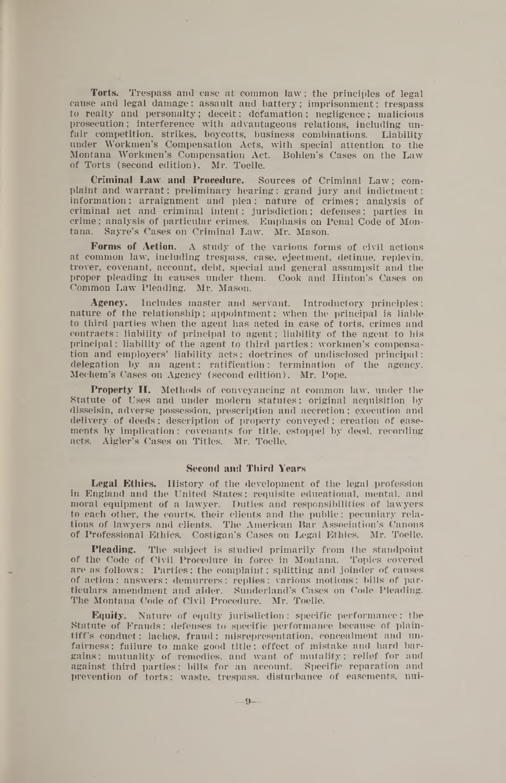Torts. Trespass and case at common law ; the principles of legal cause and legal damage: assault and battery; imprisonment; trespass to realty and personalty; deceit; defamation; negligence; malicious prosecution; interference with advantageous relations, including unfair competition, strikes, boycotts, business combinations. Liability under Workmen's Compensation Acts, with special attention to the Montana Workmen's Compensation Act. Bohlen's Cases on the Law of Torts (second edition). Mr. Toelle.

Criminal Law and Procedure. Sources of Criminal Law; complaint and warrant; preliminary hearing; grand jury and indictment: information; arraignment and plea; nature of crimes; analysis of criminal act and criminal intent; jurisdiction; defenses; parties in crime; analysis of particular crimes. Emphasis on Penal Code of Montana. Sayre's Cases on Criminal Law. Mr. Mason.

Forms of Action. A study of the various forms of civil actions at common law, including trespass, case, ejectment, detinue, replevin, trover, covenant, account, debt, special and general assumpsit and the proper pleading in causes under them. Cook and Hinton's Cases on Common Law Pleading. Mr. Mason.

Agency. Includes master and servant. Introductory principles: nature of the relationship; appointment; when the principal is liable to third parties when the agent has acted in case of torts, crimes and contracts; liability of principal to agent; liability of the agent to his principal; liability of the agent to third parties; workmen's compensation and employers' liability acts; doctrines of undisclosed principal; delegation by an agent; ratification; termination of the agency. Mechem's Cases on Agency (second edition). Mr. Pope.

Property II. Methods of conveyancing at common law, under the Statute of Uses and under modern statutes; original acquisition by disseisin, adverse possession, prescription and accretion; execution and delivery of deeds; description of property conveyed; creation of easements by implication; covenants for title, estoppel by deed, recording acts. Aigler's Cases on Titles. Mr. Toelle.

#### Second and Third Years

Legal Ethics. History of the development of the legal profession in England and the United States; requisite educational, mental, and moral equipment of a lawyer. Duties and responsibilities of lawyers to each other, the courts, their clients and the public; pecuniary relations of lawyers and clients. The American Bar Association's Canons of Professional Ethics. Costigan's Cases on Legal Ethics. Mr. Toelle.

Pleading. The subject is studied primarily from the standpoint of the Code of Civil Procedure in force in Montana. Topics covered are as follows : Parties; the complaint; splitting and joinder of causes of action ; answers; demurrers ; replies; various motions; bills of particulars amendment and aider. Sunderland's Cases on Code Pleading. The Montana Code of Civil Procedure. Mr. Toelle.

Equity. Nature of equity jurisdiction; specific performance; the Statute of Frauds; defenses to specific performance because of plaintiff's conduct: laches, fraud; misrepresentation, concealment and unfairness ; failure to make good title; effect of mistake and hard bargains ; mutuality of remedies, and want of mutality; relief for and against third parties; bills for an account. Specific reparation and prevention of torts; waste, trespass, disturbance of easements, nui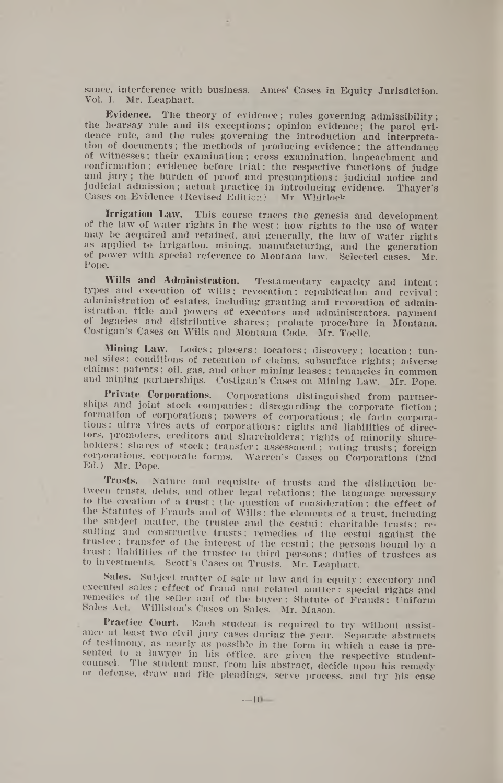sance, interference with business. Ames' Cases in Equity Jurisdiction. Vol. I. Mr. Leaphart.

Evidence. The theory of evidence; rules governing admissibility; the hearsay rule and its exceptions; opinion evidence; the parol evidence rule, and the rules governing the introduction and interpretation of documents; the methods of producing evidence; the attendance of witnesses; their examination; cross examination, impeachment and confirmation; evidence before trial; the respective functions of judge and jury; the burden of proof and presumptions; judicial notice and judicial admission; actual practice in introducing evidence. Thayer's Cases on Evidence (Revised Edition) Mr. Whitlock

**Irrigation Law.** This course traces the genesis and development of the law of water rights in the west; how rights to the use of water may be acquired and retained, and generally, the law of water rights as applied to irrigation, mining, manufacturing, and the generation of power with special reference to Montana law. Selected cases. Mr. Pope.

**Wills** and **Administration.** Testamentary capacity and intent; types and execution of wills; revocation; republication and revival; administration of estates, including granting and revocation of administration, title and powers of executors and administrators, payment of legacies and distributive shares; probate procedure in Montana. Costigan's Cases on Wills and Montana Code. Mr. Toelle.

**Mining Law.** Lodes; placers; locators; discovery; location; tunnel sites; conditions of retention of claims, subsurface rights; adverse claims; patents; oil, gas, and other mining leases: tenancies in common and mining partnerships. Costigan's Cases on Mining Law. Mr. Pope.

**Private Corporations.** Corporations distinguished from partnerships and joint stock companies; disregarding the corporate fiction; formation of corporations; powers of corporations; de facto corporations ; ultra vires acts of corporations; rights and liabilities of directors, promoters, creditors and shareholders; rights of minority shareholders; shares of stock; transfer; assessment; voting trusts; foreign corporations, corporate forms. Warren's Cases on Corporations (2nd Ed.) Mr. Pope.

**Trusts.** Nature and requisite of trusts and the distinction between trusts, debts, and other legal relations; the language necessary to the creation of a trust; the question of consideration; the effect of the Statutes of Frauds and of Wills; the elements of a trust, including the subject matter, the trustee and the cestui; charitable trusts; resulting and constructive trusts; remedies of the cestui against the trustee; transfer of the interest of the cestui; the persons bound by a trust; liabilities of the trustee to third persons; duties of trustees as to investments. Scott's Cases on Trusts. Mr. Leaphart.

Sales. Subject matter of sale at law and in equity; executory and executed sales; effect of fraud and related matter; special rights and remedies of the seller and of the buyer; Statute of Frauds; Uniform Sales Act. Williston's Cases on Sales. Mr. Mason.

Practice **Court.** Each student is required to try without assistance at least two civil jury cases during the year. Separate abstracts of testimony, as nearly as possible in the form in which a case is presented to a lawyer in his office, are given the respective studentcounsel. The student must, from his abstract, decide upon his remedy or defense, draw and file pleadings, serve process, and try his case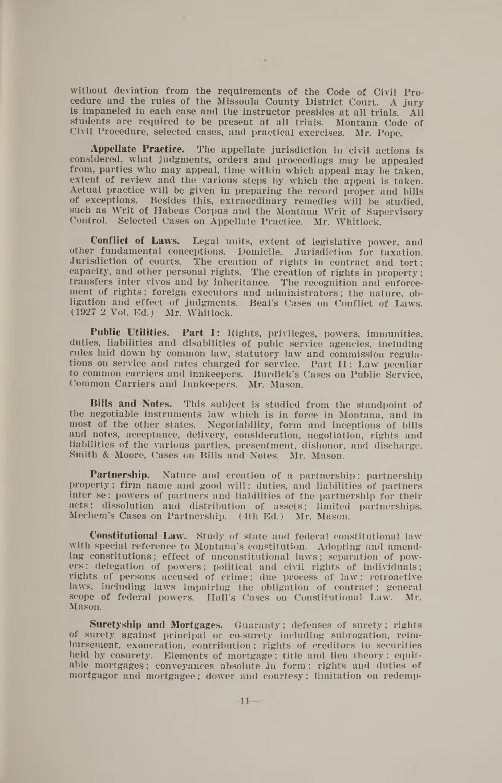without deviation from the requirements of the Code of Civil Procedure and the rules of the Missoula County District Court. A jury is impaneled in each case and the instructor presides at all trials. All students are required to be present at all trials. Civil Procedure, selected cases, and practical exercises. Mr. Pope.

×

**Appellate Practice.** The appellate jurisdiction in civil actions is considered, what judgments, orders and proceedings may be appealed from, parties who may appeal, time within which appeal may be taken, extent of review and the various steps by which the appeal is taken. Actual practice will be given in preparing the record proper and bills of exceptions. Besides this, extraordinary remedies will be studied, such as Writ of Habeas Corpus and the Montana Writ of Supervisory Control. Selected Cases on Appellate Practice. Mr. Whitlock.

**Conflict of Laws.** Legal units, extent of legislative power, and other fundamental conceptions. Domicile. Jurisdiction for taxation. Jurisdiction of courts. The creation of rights in contract and tort; capacity, and other personal rights. The creation of rights in property; transfers inter vivos and by inheritance. The recognition and enforcement of rights; foreign executors and administrators; the nature, obligation and effect of judgments. Beal's Cases on Conflict of Laws. (1927 2 Vol. Ed.) Mr. Whitlock.

Public Utilities. Part I: Rights, privileges, powers, immunities, duties, liabilities and disabilities of pubic service agencies, including rules laid down by common law, statutory law and commission regulations on service and rates charged for service. Part II: Law peculiar to common carriers and innkeepers. Burdick's Cases on Public Service, Common Carriers and Innkeepers. Mr. Mason.

**Bills and Notes.** This subject is studied from the standpoint of the negotiable instruments law which is in force in Montana, and in most of the other states. Negotiability, form and inceptions of bills and notes, acceptance, delivery, consideration, negotiation, rights and liabilities of the various parties, presentment, dishonor, and discharge. Smith & Moore, Cases on Bills and Notes. Mr. Mason.

Partnership. Nature and creation of a partnership; partnership property; firm name and good will; duties, and liabilities of partners inter se; powers of partners and liabilities of the partnership for their acts; dissolution and distribution of assets; limited partnerships. Meehem's Cases on Partnership. (4th Ed.) Mr. Mason.

**Constitutional Law.** Study of state and federal constitutional law with special reference to Montana's constitution. Adopting and amending constitutions; effect of unconstitutional laws; separation of powers: delegation of powers; political and civil rights of individuals; rights of persons accused of crime; due process of law; retroactive laws, including laws impairing the obligation of contract; general scope of federal powers. Hall's Cases on Constitutional Law. Mason.

**Suretyship and Mortgages.** Guaranty; defenses of surety; rights of surety against principal or co-surety including subrogation, reimbursement, exoneration, contribution; rights of creditors to securities held by cosurety. Elements of mortgage; title and lien theory; equitable mortgages; conveyances absolute an form ; rights and duties of mortgagor and mortgagee; dower and courtesy; limitation on redemp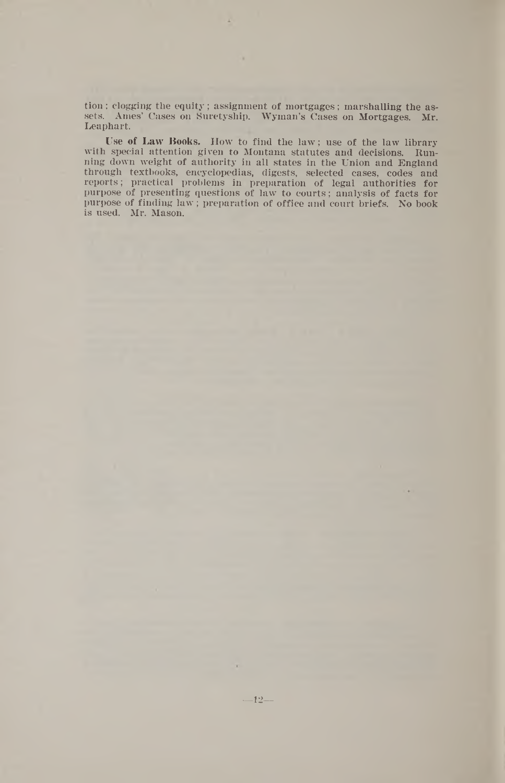tion; clogging the equity; assignment of mortgages; marshalling the assets. Ames' Cases on Suretyship. Wyman's Cases on Mortgages. Mr. Leaphart.

Use of Law Books. How to find the law ; use of the law library with special attention given to Montana statutes and decisions. Running down weight of authority in all states in the Union and England through textbooks, encyclopedias, digests, selected cases, codes and reports; practical problems in preparation of legal authorities for purpose of presenting questions of law to courts; analysis of facts for purpose of finding law ; preparation of office and court briefs. No book is used. Mr. Mason.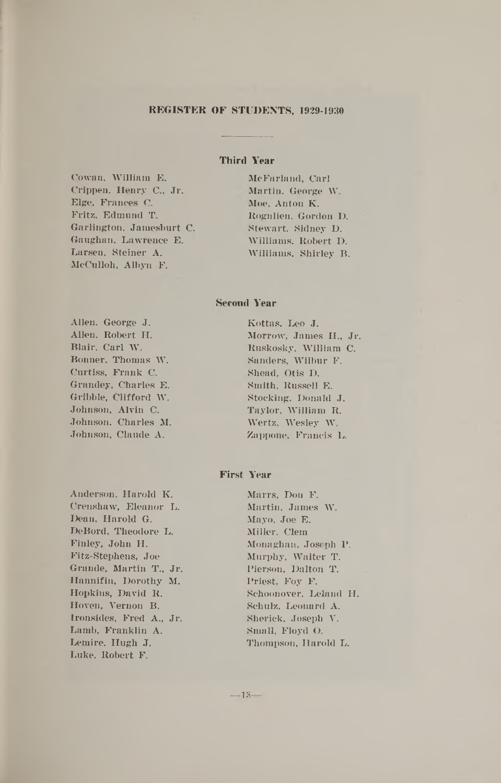#### **REGISTER OF STUDENTS, 1929-1930**

#### **Third Year**

Cowan, William E. Crippen, Henry C., Jr. Elge, Frances C. Fritz, Edmund T. Garlington, Jamesburt C. Gaughan, Lawrence E. Larsen, Steiner A. McCulloh, Albyn F.

McFarland, Carl Martin, George W. Moe, Anton K. Rognlien, Gordon D. Stewart, Sidney D. Williams, Robert D. Williams, Shirley B.

#### **Second Year**

Allen, George J. Allen, Robert H. Blair, Carl W. Bonner, Thomas W. Curtiss, Frank C. Grandey, Charles E. Gribble, Clifford W. Johnson, Alvin C. Johnson, Charles M. Johnson, Claude A.

Anderson, Harold K. Crenshaw, Eleanor L. Dean, Harold G. DeBord, Theodore L. Finley, John H. Fitz-Stephens, Joe Grande, Martin T., Jr. Hannifin, Dorothy M. Hopkins, David R. Hoven, Vernon B. Ironsides, Fred A., Jr. Lamb, Franklin A. Lemire, Hugh J. Luke, Robert F.

Kottas, Leo J. Morrow,- James H., Jr. Ruskosky, William C. Sanders, Wilbur F. Shead, Otis D. Smith, Russell E. Stocking, Donald J. Taylor, William R. Wertz, Wesley W. Zappone, Francis L.

#### **First Year**

Marrs, Don F. Martin, James W. Mayo, Joe E. Miller, Clem Monaghan, Joseph P. Murphy, Walter T. Pierson, Dalton T. Priest, Foy F. Schoonover, Leland H. Schulz, Leonard A. Sherick, Joseph V. Small, Floyd O. Thompson, Harold L.

 $-13-$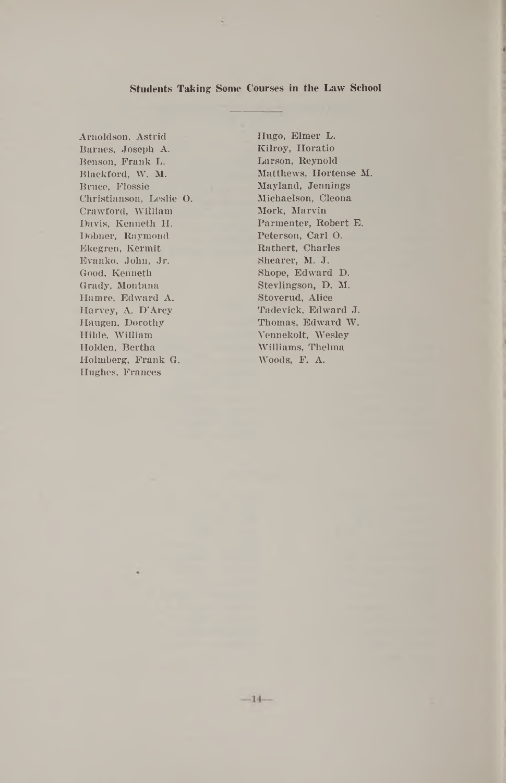#### **Students Taking Some Courses in the Law School**

 $-14-$ 

Arnoldson, Astrid Hugo, Elmer L. Barnes, Joseph A. Kilroy, Horatio Benson, Frank L. Larson, Reynold Bruce, Flossie , Mayland, Jennings Christianson, Leslie O. Michaelson; Cleona Crawford, William Mork, Marvin Davis, Kenneth H. Parmenter, Robert E. Dobner, Raymond Peterson, Carl O. Ekegren, Kermit Rathert, Charles Evanko, John, Jr. Good, Kenneth Shope, Edward D. Grady, Montana Stevlingson, D. M. Hamre, Edward A. Stoverud, Alice Harvey, A. D'Arcy Tadevick, Edward J. Haugen, Dorothy Thomas, Edward W. Hilde, William Vennekolt, Wesley Holden, Bertha Williams, Thelma Holmberg, Frank G. Woods, F. A. Hughes, Frances

Blackford, W. M. Matthews, Hortense **M.**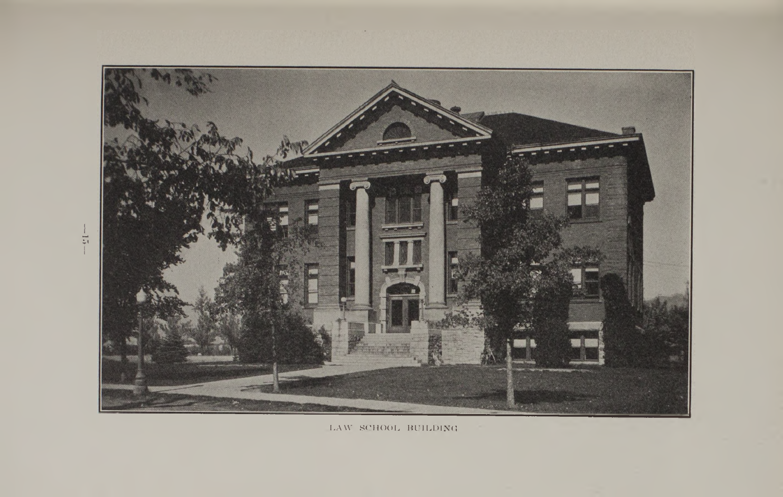

LAW SCHOOL BUILDING

 $\frac{1}{2}$